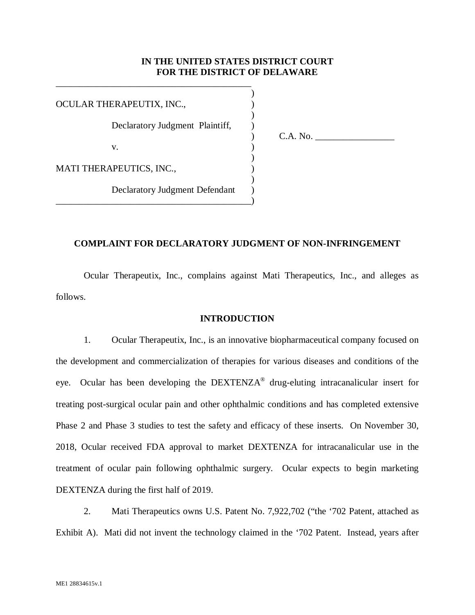### **IN THE UNITED STATES DISTRICT COURT FOR THE DISTRICT OF DELAWARE**

 $)$ OCULAR THERAPEUTIX, INC.,  $)$ Declaratory Judgment Plaintiff, v. (1) and (1) and (1) and (1) and (1) and (1) and (1) and (1) and (1) and (1) and (1) and (1) and (1) and (1)  $\lambda$  $)$ 

 $)$ 

\_\_\_\_\_\_\_\_\_\_\_\_\_\_\_\_\_\_\_\_\_\_\_\_\_\_\_\_\_\_\_\_\_\_\_\_\_\_\_\_\_\_)

\_\_\_\_\_\_\_\_\_\_\_\_\_\_\_\_\_\_\_\_\_\_\_\_\_\_\_\_\_\_\_\_\_\_\_\_\_\_\_\_\_\_

) C.A. No. \_\_\_\_\_\_\_\_\_\_\_\_\_\_\_\_\_

MATI THERAPEUTICS, INC.,  $\qquad \qquad$ 

Declaratory Judgment Defendant )

## **COMPLAINT FOR DECLARATORY JUDGMENT OF NON-INFRINGEMENT**

 Ocular Therapeutix, Inc., complains against Mati Therapeutics, Inc., and alleges as follows.

#### **INTRODUCTION**

1. Ocular Therapeutix, Inc., is an innovative biopharmaceutical company focused on the development and commercialization of therapies for various diseases and conditions of the eye. Ocular has been developing the  $DEXTENZA^{\otimes}$  drug-eluting intracanalicular insert for treating post-surgical ocular pain and other ophthalmic conditions and has completed extensive Phase 2 and Phase 3 studies to test the safety and efficacy of these inserts. On November 30, 2018, Ocular received FDA approval to market DEXTENZA for intracanalicular use in the treatment of ocular pain following ophthalmic surgery. Ocular expects to begin marketing DEXTENZA during the first half of 2019.

2. Mati Therapeutics owns U.S. Patent No. 7,922,702 ("the '702 Patent, attached as Exhibit A). Mati did not invent the technology claimed in the '702 Patent. Instead, years after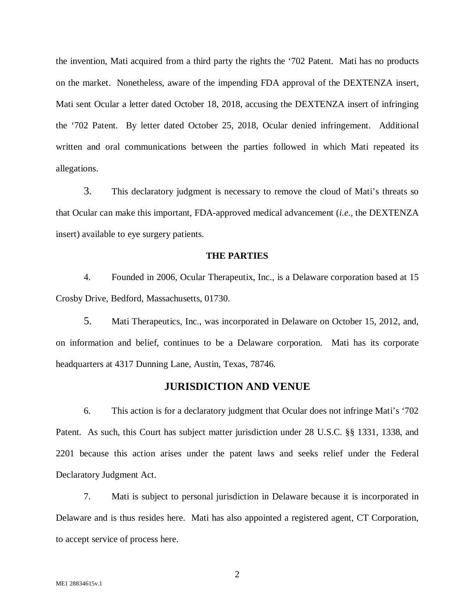the invention, Mati acquired from a third party the rights the '702 Patent. Mati has no products on the market. Nonetheless, aware of the impending FDA approval of the DEXTENZA insert, Mati sent Ocular a letter dated October 18, 2018, accusing the DEXTENZA insert of infringing the '702 Patent. By letter dated October 25, 2018, Ocular denied infringement. Additional written and oral communications between the parties followed in which Mati repeated its allegations.

3. This declaratory judgment is necessary to remove the cloud of Mati's threats so that Ocular can make this important, FDA-approved medical advancement (*i.e.,* the DEXTENZA insert) available to eye surgery patients.

#### **THE PARTIES**

4. Founded in 2006, Ocular Therapeutix, Inc., is a Delaware corporation based at 15 Crosby Drive, Bedford, Massachusetts, 01730.

5. Mati Therapeutics, Inc., was incorporated in Delaware on October 15, 2012, and, on information and belief, continues to be a Delaware corporation. Mati has its corporate headquarters at 4317 Dunning Lane, Austin, Texas, 78746.

## **JURISDICTION AND VENUE**

6. This action is for a declaratory judgment that Ocular does not infringe Mati's '702 Patent. As such, this Court has subject matter jurisdiction under 28 U.S.C. §§ 1331, 1338, and 2201 because this action arises under the patent laws and seeks relief under the Federal Declaratory Judgment Act.

7. Mati is subject to personal jurisdiction in Delaware because it is incorporated in Delaware and is thus resides here. Mati has also appointed a registered agent, CT Corporation, to accept service of process here.

2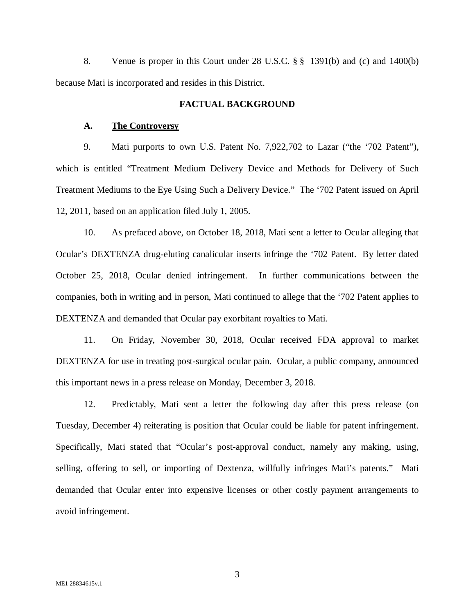8. Venue is proper in this Court under 28 U.S.C. § § 1391(b) and (c) and 1400(b) because Mati is incorporated and resides in this District.

### **FACTUAL BACKGROUND**

#### **A. The Controversy**

9. Mati purports to own U.S. Patent No. 7,922,702 to Lazar ("the '702 Patent"), which is entitled "Treatment Medium Delivery Device and Methods for Delivery of Such Treatment Mediums to the Eye Using Such a Delivery Device." The '702 Patent issued on April 12, 2011, based on an application filed July 1, 2005.

10. As prefaced above, on October 18, 2018, Mati sent a letter to Ocular alleging that Ocular's DEXTENZA drug-eluting canalicular inserts infringe the '702 Patent. By letter dated October 25, 2018, Ocular denied infringement. In further communications between the companies, both in writing and in person, Mati continued to allege that the '702 Patent applies to DEXTENZA and demanded that Ocular pay exorbitant royalties to Mati.

11. On Friday, November 30, 2018, Ocular received FDA approval to market DEXTENZA for use in treating post-surgical ocular pain. Ocular, a public company, announced this important news in a press release on Monday, December 3, 2018.

12. Predictably, Mati sent a letter the following day after this press release (on Tuesday, December 4) reiterating is position that Ocular could be liable for patent infringement. Specifically, Mati stated that "Ocular's post-approval conduct, namely any making, using, selling, offering to sell, or importing of Dextenza, willfully infringes Mati's patents." Mati demanded that Ocular enter into expensive licenses or other costly payment arrangements to avoid infringement.

3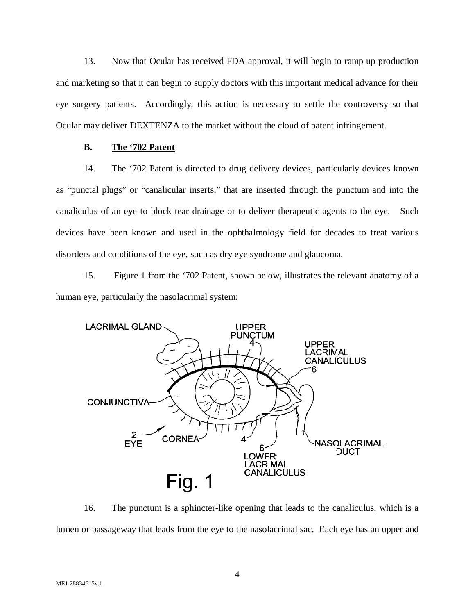13. Now that Ocular has received FDA approval, it will begin to ramp up production and marketing so that it can begin to supply doctors with this important medical advance for their eye surgery patients. Accordingly, this action is necessary to settle the controversy so that Ocular may deliver DEXTENZA to the market without the cloud of patent infringement.

## **B. The '702 Patent**

14. The '702 Patent is directed to drug delivery devices, particularly devices known as "punctal plugs" or "canalicular inserts," that are inserted through the punctum and into the canaliculus of an eye to block tear drainage or to deliver therapeutic agents to the eye. Such devices have been known and used in the ophthalmology field for decades to treat various disorders and conditions of the eye, such as dry eye syndrome and glaucoma.

15. Figure 1 from the '702 Patent, shown below, illustrates the relevant anatomy of a human eye, particularly the nasolacrimal system:



16. The punctum is a sphincter-like opening that leads to the canaliculus, which is a lumen or passageway that leads from the eye to the nasolacrimal sac. Each eye has an upper and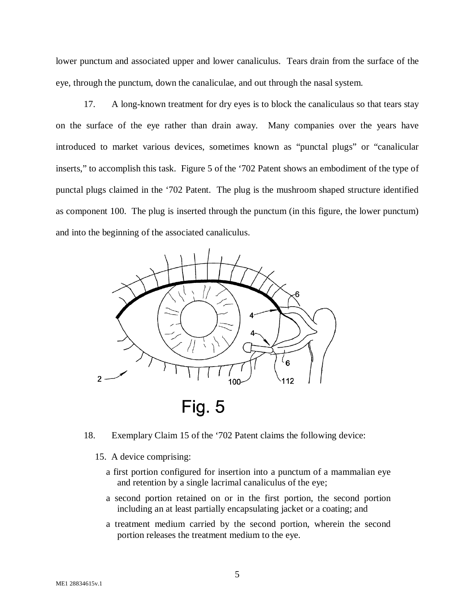lower punctum and associated upper and lower canaliculus. Tears drain from the surface of the eye, through the punctum, down the canaliculae, and out through the nasal system.

17. A long-known treatment for dry eyes is to block the canaliculaus so that tears stay on the surface of the eye rather than drain away. Many companies over the years have introduced to market various devices, sometimes known as "punctal plugs" or "canalicular inserts," to accomplish this task. Figure 5 of the '702 Patent shows an embodiment of the type of punctal plugs claimed in the '702 Patent. The plug is the mushroom shaped structure identified as component 100. The plug is inserted through the punctum (in this figure, the lower punctum) and into the beginning of the associated canaliculus.



- 18. Exemplary Claim 15 of the '702 Patent claims the following device:
	- 15. A device comprising:
		- a first portion configured for insertion into a punctum of a mammalian eye and retention by a single lacrimal canaliculus of the eye;
		- a second portion retained on or in the first portion, the second portion including an at least partially encapsulating jacket or a coating; and
		- a treatment medium carried by the second portion, wherein the second portion releases the treatment medium to the eye.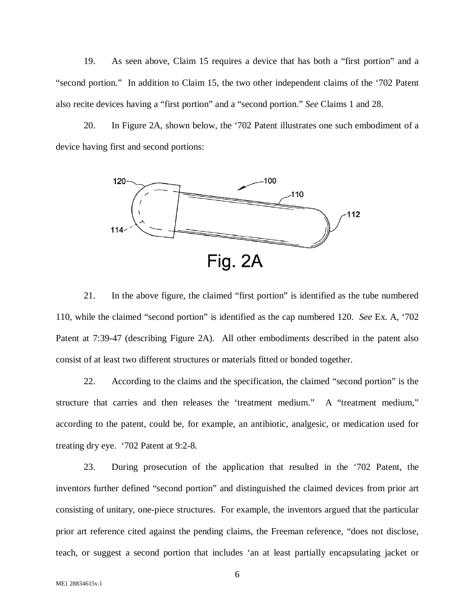19. As seen above, Claim 15 requires a device that has both a "first portion" and a "second portion." In addition to Claim 15, the two other independent claims of the '702 Patent also recite devices having a "first portion" and a "second portion." *See* Claims 1 and 28.

20. In Figure 2A, shown below, the '702 Patent illustrates one such embodiment of a device having first and second portions:



21. In the above figure, the claimed "first portion" is identified as the tube numbered 110, while the claimed "second portion" is identified as the cap numbered 120. *See* Ex. A, '702 Patent at 7:39-47 (describing Figure 2A). All other embodiments described in the patent also consist of at least two different structures or materials fitted or bonded together.

22. According to the claims and the specification, the claimed "second portion" is the structure that carries and then releases the 'treatment medium." A "treatment medium," according to the patent, could be, for example, an antibiotic, analgesic, or medication used for treating dry eye. '702 Patent at 9:2-8.

23. During prosecution of the application that resulted in the '702 Patent, the inventors further defined "second portion" and distinguished the claimed devices from prior art consisting of unitary, one-piece structures. For example, the inventors argued that the particular prior art reference cited against the pending claims, the Freeman reference, "does not disclose, teach, or suggest a second portion that includes 'an at least partially encapsulating jacket or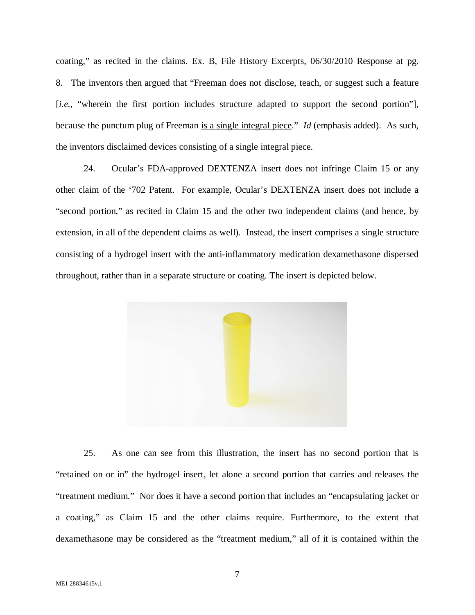coating," as recited in the claims. Ex. B, File History Excerpts, 06/30/2010 Response at pg. 8. The inventors then argued that "Freeman does not disclose, teach, or suggest such a feature [*i.e.*, "wherein the first portion includes structure adapted to support the second portion"], because the punctum plug of Freeman is a single integral piece." *Id* (emphasis added). As such, the inventors disclaimed devices consisting of a single integral piece.

24. Ocular's FDA-approved DEXTENZA insert does not infringe Claim 15 or any other claim of the '702 Patent. For example, Ocular's DEXTENZA insert does not include a "second portion," as recited in Claim 15 and the other two independent claims (and hence, by extension, in all of the dependent claims as well). Instead, the insert comprises a single structure consisting of a hydrogel insert with the anti-inflammatory medication dexamethasone dispersed throughout, rather than in a separate structure or coating. The insert is depicted below.



25. As one can see from this illustration, the insert has no second portion that is "retained on or in" the hydrogel insert, let alone a second portion that carries and releases the "treatment medium." Nor does it have a second portion that includes an "encapsulating jacket or a coating," as Claim 15 and the other claims require. Furthermore, to the extent that dexamethasone may be considered as the "treatment medium," all of it is contained within the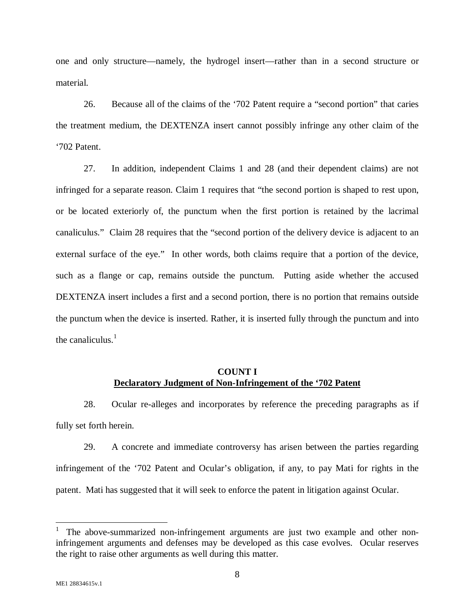one and only structure—namely, the hydrogel insert—rather than in a second structure or material.

26. Because all of the claims of the '702 Patent require a "second portion" that caries the treatment medium, the DEXTENZA insert cannot possibly infringe any other claim of the '702 Patent.

27. In addition, independent Claims 1 and 28 (and their dependent claims) are not infringed for a separate reason. Claim 1 requires that "the second portion is shaped to rest upon, or be located exteriorly of, the punctum when the first portion is retained by the lacrimal canaliculus." Claim 28 requires that the "second portion of the delivery device is adjacent to an external surface of the eye." In other words, both claims require that a portion of the device, such as a flange or cap, remains outside the punctum. Putting aside whether the accused DEXTENZA insert includes a first and a second portion, there is no portion that remains outside the punctum when the device is inserted. Rather, it is inserted fully through the punctum and into the canaliculus. $<sup>1</sup>$ </sup>

# **COUNT I Declaratory Judgment of Non-Infringement of the '702 Patent**

28. Ocular re-alleges and incorporates by reference the preceding paragraphs as if fully set forth herein.

29. A concrete and immediate controversy has arisen between the parties regarding infringement of the '702 Patent and Ocular's obligation, if any, to pay Mati for rights in the patent. Mati has suggested that it will seek to enforce the patent in litigation against Ocular.

 $\overline{a}$ 

<sup>1</sup> The above-summarized non-infringement arguments are just two example and other noninfringement arguments and defenses may be developed as this case evolves. Ocular reserves the right to raise other arguments as well during this matter.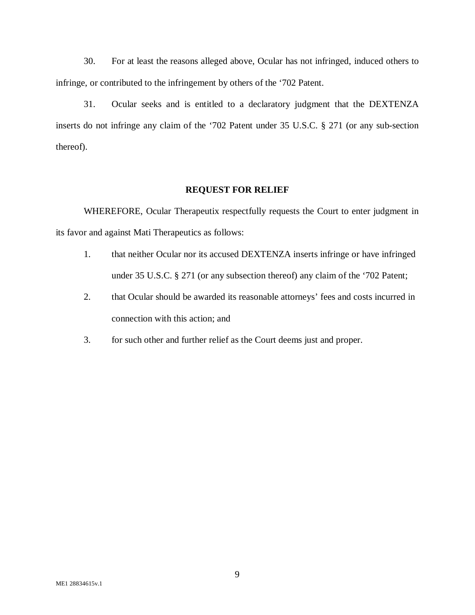30. For at least the reasons alleged above, Ocular has not infringed, induced others to infringe, or contributed to the infringement by others of the '702 Patent.

31. Ocular seeks and is entitled to a declaratory judgment that the DEXTENZA inserts do not infringe any claim of the '702 Patent under 35 U.S.C. § 271 (or any sub-section thereof).

### **REQUEST FOR RELIEF**

WHEREFORE, Ocular Therapeutix respectfully requests the Court to enter judgment in its favor and against Mati Therapeutics as follows:

- 1. that neither Ocular nor its accused DEXTENZA inserts infringe or have infringed under 35 U.S.C. § 271 (or any subsection thereof) any claim of the '702 Patent;
- 2. that Ocular should be awarded its reasonable attorneys' fees and costs incurred in connection with this action; and
- 3. for such other and further relief as the Court deems just and proper.